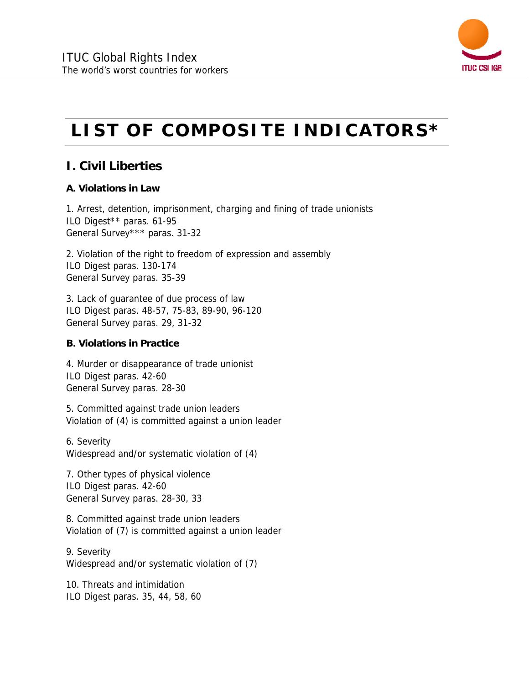

# **LIST OF COMPOSITE INDICATORS\***

## **I. Civil Liberties**

#### **A. Violations in Law**

1. Arrest, detention, imprisonment, charging and fining of trade unionists ILO Digest\*\* paras. 61-95 General Survey\*\*\* paras. 31-32

2. Violation of the right to freedom of expression and assembly ILO Digest paras. 130-174 General Survey paras. 35-39

3. Lack of guarantee of due process of law ILO Digest paras. 48-57, 75-83, 89-90, 96-120 General Survey paras. 29, 31-32

#### **B. Violations in Practice**

4. Murder or disappearance of trade unionist ILO Digest paras. 42-60 General Survey paras. 28-30

5. Committed against trade union leaders Violation of (4) is committed against a union leader

6. Severity Widespread and/or systematic violation of (4)

7. Other types of physical violence ILO Digest paras. 42-60 General Survey paras. 28-30, 33

8. Committed against trade union leaders Violation of (7) is committed against a union leader

9. Severity Widespread and/or systematic violation of (7)

10. Threats and intimidation ILO Digest paras. 35, 44, 58, 60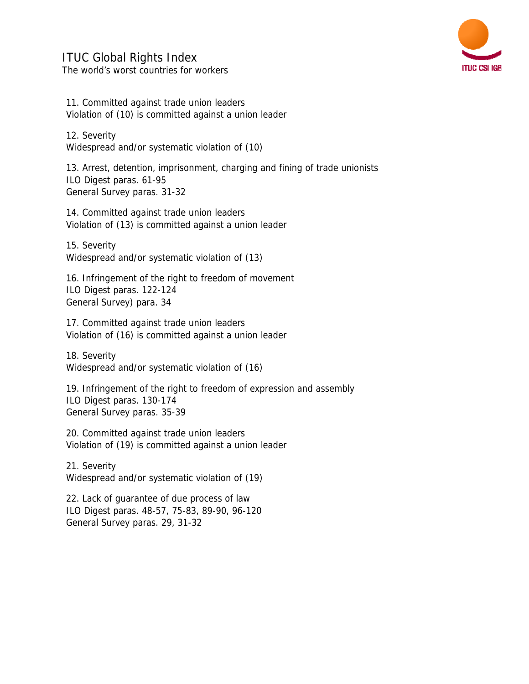

11. Committed against trade union leaders Violation of (10) is committed against a union leader

12. Severity Widespread and/or systematic violation of (10)

13. Arrest, detention, imprisonment, charging and fining of trade unionists ILO Digest paras. 61-95 General Survey paras. 31-32

14. Committed against trade union leaders Violation of (13) is committed against a union leader

15. Severity Widespread and/or systematic violation of (13)

16. Infringement of the right to freedom of movement ILO Digest paras. 122-124 General Survey) para. 34

17. Committed against trade union leaders Violation of (16) is committed against a union leader

18. Severity Widespread and/or systematic violation of (16)

19. Infringement of the right to freedom of expression and assembly ILO Digest paras. 130-174 General Survey paras. 35-39

20. Committed against trade union leaders Violation of (19) is committed against a union leader

21. Severity Widespread and/or systematic violation of (19)

22. Lack of guarantee of due process of law ILO Digest paras. 48-57, 75-83, 89-90, 96-120 General Survey paras. 29, 31-32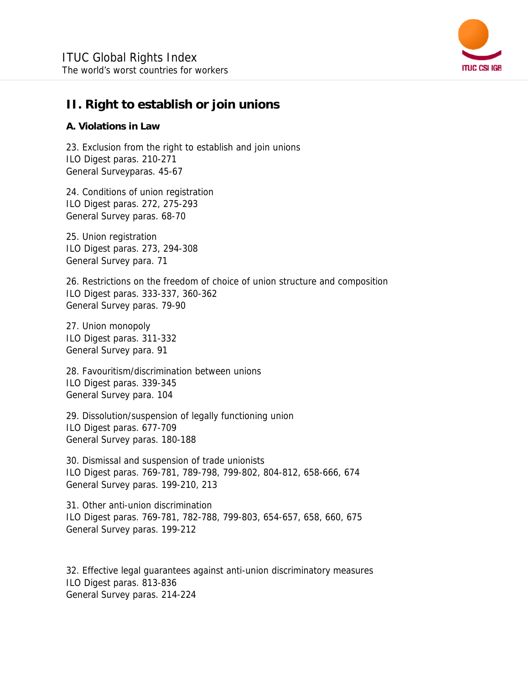

### **II. Right to establish or join unions**

#### **A. Violations in Law**

23. Exclusion from the right to establish and join unions ILO Digest paras. 210-271 General Surveyparas. 45-67

24. Conditions of union registration ILO Digest paras. 272, 275-293 General Survey paras. 68-70

25. Union registration ILO Digest paras. 273, 294-308 General Survey para. 71

26. Restrictions on the freedom of choice of union structure and composition ILO Digest paras. 333-337, 360-362 General Survey paras. 79-90

27. Union monopoly ILO Digest paras. 311-332 General Survey para. 91

28. Favouritism/discrimination between unions ILO Digest paras. 339-345 General Survey para. 104

29. Dissolution/suspension of legally functioning union ILO Digest paras. 677-709 General Survey paras. 180-188

30. Dismissal and suspension of trade unionists ILO Digest paras. 769-781, 789-798, 799-802, 804-812, 658-666, 674 General Survey paras. 199-210, 213

31. Other anti-union discrimination ILO Digest paras. 769-781, 782-788, 799-803, 654-657, 658, 660, 675 General Survey paras. 199-212

32. Effective legal guarantees against anti-union discriminatory measures ILO Digest paras. 813-836 General Survey paras. 214-224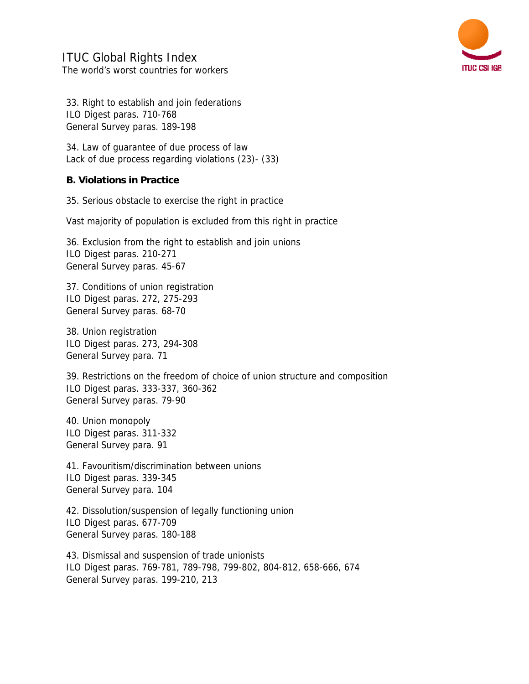

33. Right to establish and join federations ILO Digest paras. 710-768 General Survey paras. 189-198

34. Law of guarantee of due process of law Lack of due process regarding violations (23)- (33)

#### **B. Violations in Practice**

35. Serious obstacle to exercise the right in practice

Vast majority of population is excluded from this right in practice

36. Exclusion from the right to establish and join unions ILO Digest paras. 210-271 General Survey paras. 45-67

37. Conditions of union registration ILO Digest paras. 272, 275-293 General Survey paras. 68-70

38. Union registration ILO Digest paras. 273, 294-308 General Survey para. 71

39. Restrictions on the freedom of choice of union structure and composition ILO Digest paras. 333-337, 360-362 General Survey paras. 79-90

40. Union monopoly ILO Digest paras. 311-332 General Survey para. 91

41. Favouritism/discrimination between unions ILO Digest paras. 339-345 General Survey para. 104

42. Dissolution/suspension of legally functioning union ILO Digest paras. 677-709 General Survey paras. 180-188

43. Dismissal and suspension of trade unionists ILO Digest paras. 769-781, 789-798, 799-802, 804-812, 658-666, 674 General Survey paras. 199-210, 213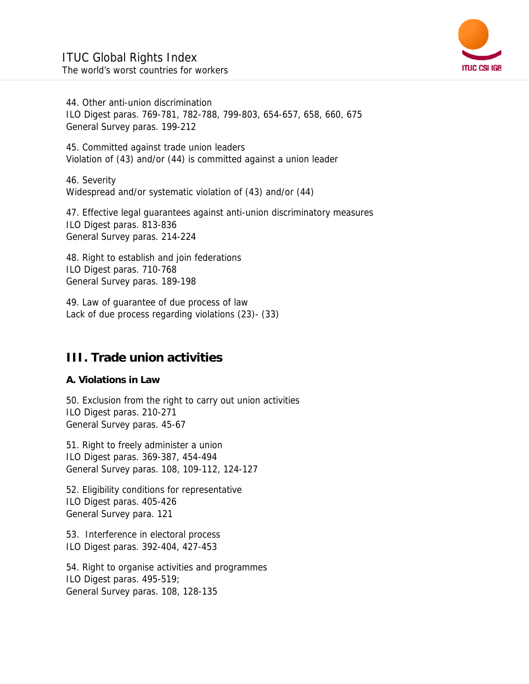

44. Other anti-union discrimination ILO Digest paras. 769-781, 782-788, 799-803, 654-657, 658, 660, 675 General Survey paras. 199-212

45. Committed against trade union leaders Violation of (43) and/or (44) is committed against a union leader

46. Severity Widespread and/or systematic violation of (43) and/or (44)

47. Effective legal guarantees against anti-union discriminatory measures ILO Digest paras. 813-836 General Survey paras. 214-224

48. Right to establish and join federations ILO Digest paras. 710-768 General Survey paras. 189-198

49. Law of guarantee of due process of law Lack of due process regarding violations (23)- (33)

## **III. Trade union activities**

#### **A. Violations in Law**

50. Exclusion from the right to carry out union activities ILO Digest paras. 210-271 General Survey paras. 45-67

51. Right to freely administer a union ILO Digest paras. 369-387, 454-494 General Survey paras. 108, 109-112, 124-127

52. Eligibility conditions for representative ILO Digest paras. 405-426 General Survey para. 121

53. Interference in electoral process ILO Digest paras. 392-404, 427-453

54. Right to organise activities and programmes ILO Digest paras. 495-519; General Survey paras. 108, 128-135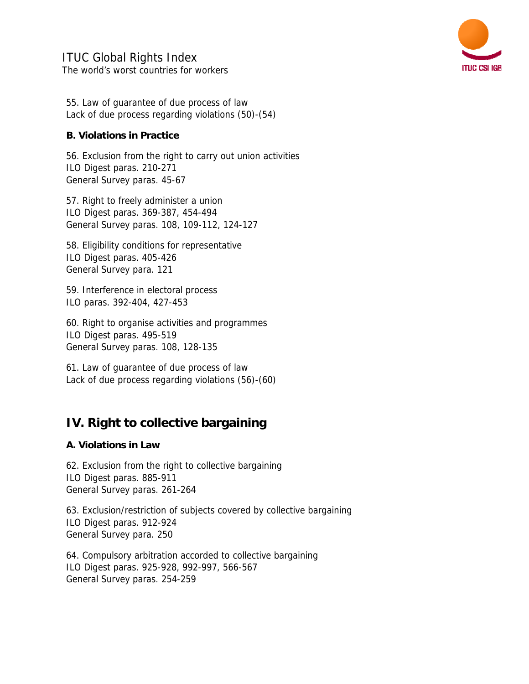

55. Law of guarantee of due process of law Lack of due process regarding violations (50)-(54)

#### **B. Violations in Practice**

56. Exclusion from the right to carry out union activities ILO Digest paras. 210-271 General Survey paras. 45-67

57. Right to freely administer a union ILO Digest paras. 369-387, 454-494 General Survey paras. 108, 109-112, 124-127

58. Eligibility conditions for representative ILO Digest paras. 405-426 General Survey para. 121

59. Interference in electoral process ILO paras. 392-404, 427-453

60. Right to organise activities and programmes ILO Digest paras. 495-519 General Survey paras. 108, 128-135

61. Law of guarantee of due process of law Lack of due process regarding violations (56)-(60)

## **IV. Right to collective bargaining**

#### **A. Violations in Law**

62. Exclusion from the right to collective bargaining ILO Digest paras. 885-911 General Survey paras. 261-264

63. Exclusion/restriction of subjects covered by collective bargaining ILO Digest paras. 912-924 General Survey para. 250

64. Compulsory arbitration accorded to collective bargaining ILO Digest paras. 925-928, 992-997, 566-567 General Survey paras. 254-259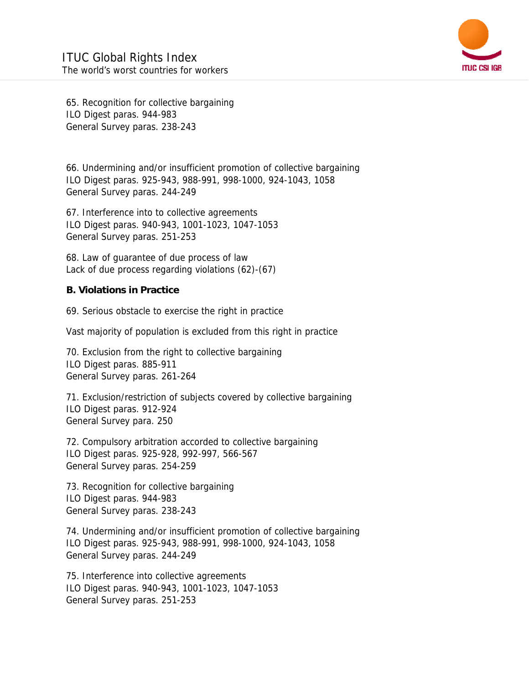

65. Recognition for collective bargaining ILO Digest paras. 944-983 General Survey paras. 238-243

66. Undermining and/or insufficient promotion of collective bargaining ILO Digest paras. 925-943, 988-991, 998-1000, 924-1043, 1058 General Survey paras. 244-249

67. Interference into to collective agreements ILO Digest paras. 940-943, 1001-1023, 1047-1053 General Survey paras. 251-253

68. Law of guarantee of due process of law Lack of due process regarding violations (62)-(67)

#### **B. Violations in Practice**

69. Serious obstacle to exercise the right in practice

Vast majority of population is excluded from this right in practice

70. Exclusion from the right to collective bargaining ILO Digest paras. 885-911 General Survey paras. 261-264

71. Exclusion/restriction of subjects covered by collective bargaining ILO Digest paras. 912-924 General Survey para. 250

72. Compulsory arbitration accorded to collective bargaining ILO Digest paras. 925-928, 992-997, 566-567 General Survey paras. 254-259

73. Recognition for collective bargaining ILO Digest paras. 944-983 General Survey paras. 238-243

74. Undermining and/or insufficient promotion of collective bargaining ILO Digest paras. 925-943, 988-991, 998-1000, 924-1043, 1058 General Survey paras. 244-249

75. Interference into collective agreements ILO Digest paras. 940-943, 1001-1023, 1047-1053 General Survey paras. 251-253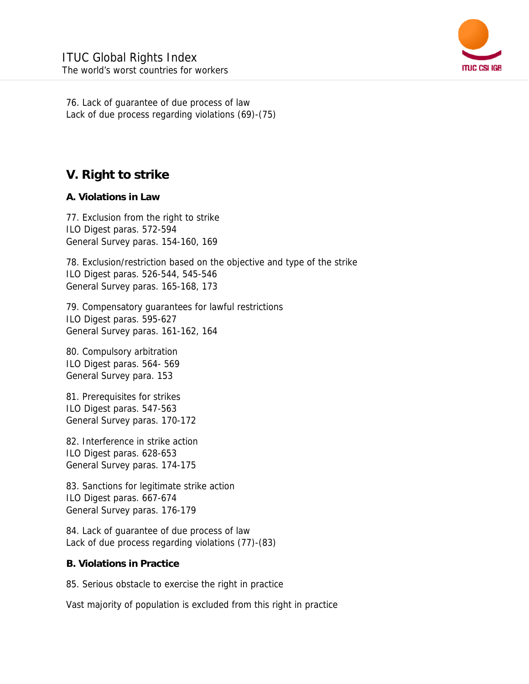

76. Lack of guarantee of due process of law Lack of due process regarding violations (69)-(75)

# **V. Right to strike**

#### **A. Violations in Law**

77. Exclusion from the right to strike ILO Digest paras. 572-594 General Survey paras. 154-160, 169

78. Exclusion/restriction based on the objective and type of the strike ILO Digest paras. 526-544, 545-546 General Survey paras. 165-168, 173

79. Compensatory guarantees for lawful restrictions ILO Digest paras. 595-627 General Survey paras. 161-162, 164

80. Compulsory arbitration ILO Digest paras. 564- 569 General Survey para. 153

81. Prerequisites for strikes ILO Digest paras. 547-563 General Survey paras. 170-172

82. Interference in strike action ILO Digest paras. 628-653 General Survey paras. 174-175

83. Sanctions for legitimate strike action ILO Digest paras. 667-674 General Survey paras. 176-179

84. Lack of guarantee of due process of law Lack of due process regarding violations (77)-(83)

#### **B. Violations in Practice**

85. Serious obstacle to exercise the right in practice

Vast majority of population is excluded from this right in practice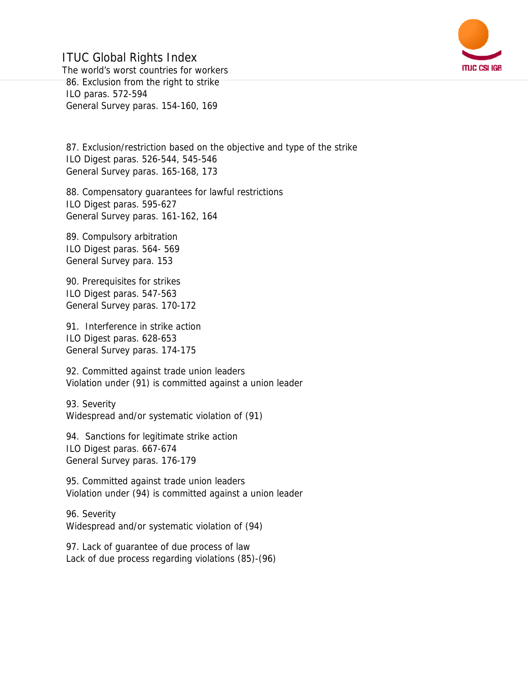

ITUC Global Rights Index The world's worst countries for workers 86. Exclusion from the right to strike ILO paras. 572-594 General Survey paras. 154-160, 169

87. Exclusion/restriction based on the objective and type of the strike ILO Digest paras. 526-544, 545-546 General Survey paras. 165-168, 173

88. Compensatory guarantees for lawful restrictions ILO Digest paras. 595-627 General Survey paras. 161-162, 164

89. Compulsory arbitration ILO Digest paras. 564- 569 General Survey para. 153

90. Prerequisites for strikes ILO Digest paras. 547-563 General Survey paras. 170-172

91. Interference in strike action ILO Digest paras. 628-653 General Survey paras. 174-175

92. Committed against trade union leaders Violation under (91) is committed against a union leader

93. Severity Widespread and/or systematic violation of (91)

94. Sanctions for legitimate strike action ILO Digest paras. 667-674 General Survey paras. 176-179

95. Committed against trade union leaders Violation under (94) is committed against a union leader

96. Severity Widespread and/or systematic violation of (94)

97. Lack of guarantee of due process of law Lack of due process regarding violations (85)-(96)